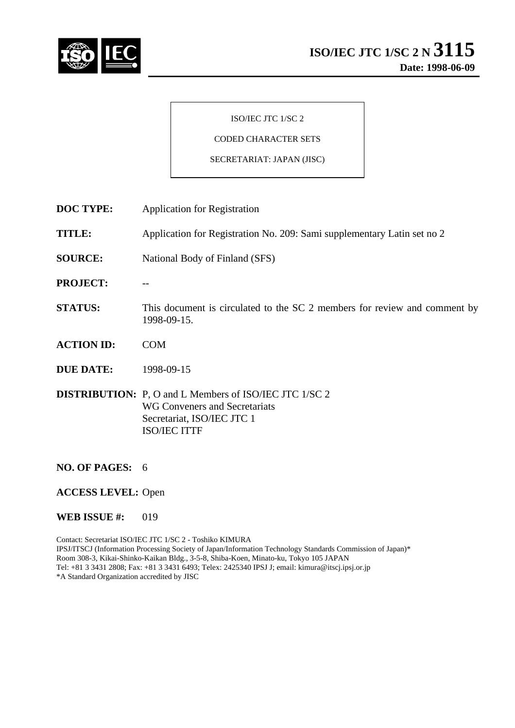

#### ISO/IEC JTC 1/SC 2

## CODED CHARACTER SETS

#### SECRETARIAT: JAPAN (JISC)

- **DOC TYPE:** Application for Registration
- **TITLE:** Application for Registration No. 209: Sami supplementary Latin set no 2
- **SOURCE:** National Body of Finland (SFS)
- **PROJECT:** --
- **STATUS:** This document is circulated to the SC 2 members for review and comment by 1998-09-15.
- **ACTION ID:** COM
- **DUE DATE:** 1998-09-15

**DISTRIBUTION:** P, O and L Members of ISO/IEC JTC 1/SC 2 WG Conveners and Secretariats Secretariat, ISO/IEC JTC 1 ISO/IEC ITTF

- **NO. OF PAGES:** 6
- **ACCESS LEVEL:** Open
- **WEB ISSUE #:** 019

Contact: Secretariat ISO/IEC JTC 1/SC 2 - Toshiko KIMURA IPSJ/ITSCJ (Information Processing Society of Japan/Information Technology Standards Commission of Japan)\* Room 308-3, Kikai-Shinko-Kaikan Bldg., 3-5-8, Shiba-Koen, Minato-ku, Tokyo 105 JAPAN Tel: +81 3 3431 2808; Fax: +81 3 3431 6493; Telex: 2425340 IPSJ J; email: kimura@itscj.ipsj.or.jp \*A Standard Organization accredited by JISC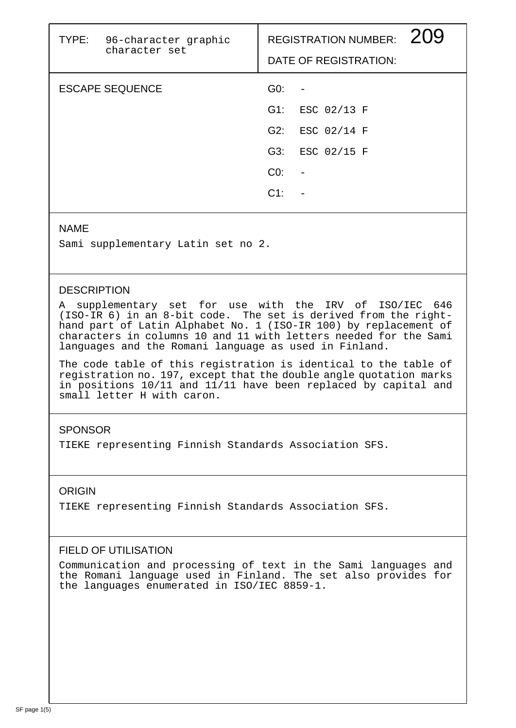| TYPE: | 96-character graphic<br>character set |                 | REGISTRATION NUMBER: 209<br>DATE OF REGISTRATION: |  |
|-------|---------------------------------------|-----------------|---------------------------------------------------|--|
|       | <b>ESCAPE SEQUENCE</b>                | G0:             |                                                   |  |
|       |                                       |                 | G1: ESC 02/13 F                                   |  |
|       |                                       | G2:             | ESC 02/14 F                                       |  |
|       |                                       | G3:             | ESC 02/15 F                                       |  |
|       |                                       | CO <sub>2</sub> |                                                   |  |
|       |                                       | $C1$ :          |                                                   |  |
|       |                                       |                 |                                                   |  |

### NAME

Sami supplementary Latin set no 2.

## **DESCRIPTION**

A supplementary set for use with the IRV of ISO/IEC 646 (ISO-IR 6) in an 8-bit code. The set is derived from the righthand part of Latin Alphabet No. 1 (ISO-IR 100) by replacement of characters in columns 10 and 11 with letters needed for the Sami languages and the Romani language as used in Finland.

The code table of this registration is identical to the table of registration no. 197, except that the double angle quotation marks in positions 10/11 and 11/11 have been replaced by capital and small letter H with caron.

# **SPONSOR**

TIEKE representing Finnish Standards Association SFS.

## ORIGIN

TIEKE representing Finnish Standards Association SFS.

# FIELD OF UTILISATION

Communication and processing of text in the Sami languages and the Romani language used in Finland. The set also provides for the languages enumerated in ISO/IEC 8859-1.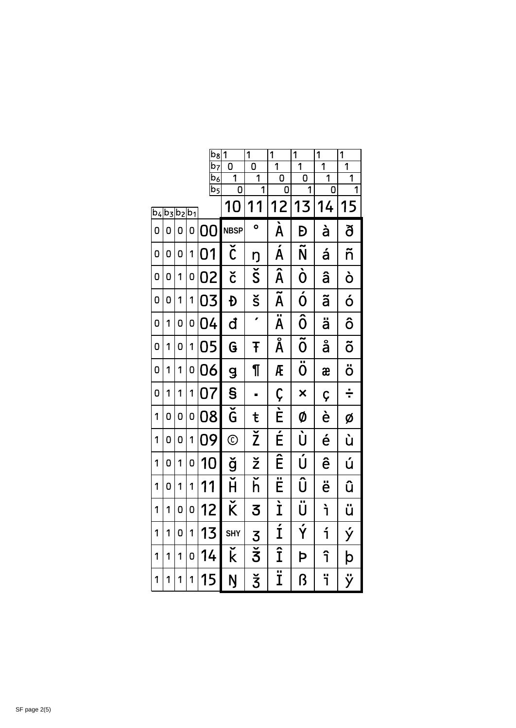|                |                |                |                | $b_8$                             | 1                                 | 1                               | 1                                    | $\overline{1}$                  | $\overline{1}$ | $\overline{1}$      |
|----------------|----------------|----------------|----------------|-----------------------------------|-----------------------------------|---------------------------------|--------------------------------------|---------------------------------|----------------|---------------------|
|                |                |                |                | b7                                | O                                 | 0                               | $\overline{1}$                       | $\overline{1}$                  | $\overline{1}$ | $\overline{1}$      |
|                |                |                |                | $\mathsf b_6$<br>$\overline{b_5}$ | 1<br>0                            | $\overline{1}$<br>1             | 0<br>0                               | 0<br>1                          | 1<br>0         | $\overline{1}$<br>1 |
| b <sub>4</sub> | b <sub>3</sub> | b <sub>2</sub> | $\mathsf{b}_1$ |                                   | 10                                | 1<br>1                          | 12                                   | 13                              | 14             | 15                  |
| 0              | 0              | 0              | 0              | O<br>N                            | <b>NBSP</b>                       | $\bullet$                       | $\overline{\grave{\mathsf{A}}}$      | Đ                               | à              | ð                   |
| 0              | 0              | 0              | 1              | 01                                | $\overline{\check{\mathfrak{c}}}$ | Ŋ                               | $\overline{\acute{\text{A}}}$        | $\overline{\tilde{\mathsf{N}}}$ | á              | ñ                   |
| 0              | 0              | 1              | 0              | 02                                | č                                 | $\overline{\check{\mathsf{S}}}$ | Â                                    | $\overline{\mathbf{O}}$         | â              | ò                   |
| 0              | 0              | 1              | 1              | 03                                | Đ                                 | š                               | $\tilde{\mathsf{A}}$                 | $\acute{0}$                     | ã              | ó                   |
| 0              | 1              | 0              | 0              | 04                                | đ                                 | $\mathbf{r}$                    | $\overline{\ddot{\mathsf{A}}}$       | $\overline{\hat{0}}$            | ä              | ô                   |
| 0              | 1              | 0              | 1              | 05                                | G                                 | Ŧ                               | $\overline{\text{\AA}}$              | $\overline{\mathbf{\tilde{0}}}$ | å              | õ                   |
| 0              | 1              | 1              | 0              | 06                                | $\mathbf{g}$                      | ¶                               | Æ                                    | $\overline{\ddot{\mathrm{o}}}$  | æ              | ö                   |
| 0              | 1              | 1              | 1              | 07                                | S                                 |                                 | Ç                                    | $\overline{\mathsf{x}}$         | Ç              | ÷                   |
| 1              | 0              | 0              | 0              | 08                                | $\overline{\check{\mathsf{G}}}$   | ŧ                               | $\overline{\tilde{E}}$               | Ø                               | è              | Ø                   |
| 1              | 0              | 0              | 1              | 09                                | $\odot$                           | ž                               | É                                    | $\overline{\dot{\textsf{U}}}$   | é              | ù                   |
| 1              | 0              | 1              | 0              | 10                                | ğ                                 | ž                               | Ê                                    | Ú                               | ê              | ú                   |
| 1              | 0              | 1              | 1              | 11                                | Ĥ                                 | $\overline{\check{\mathsf{h}}}$ |                                      | Û                               | ë              | û                   |
| 1              | 1              | 0              | 0              | 12                                | $\widecheck{\mathsf{K}}$          | 3                               | Ì                                    | $\overline{\ddot{\textsf{U}}}$  | ì              | ü                   |
| 1              | 1              | 0              | 1              | 13                                | <b>SHY</b>                        | $\overline{3}$                  | $\overline{\textbf{1}}$              | $\overline{\acute{\mathsf{Y}}}$ | í              | ý                   |
| 1              | 1              | 1              | 0              | 14                                | Ř                                 | $\check{\mathbf{z}}$            | Î                                    | Þ                               | î              | $\mathsf{b}$        |
| 1              | 1              | 1              | 1              | 15                                | Ŋ                                 | ž                               | $\overline{\overline{\overline{I}}}$ | ß                               | ï              | ÿ                   |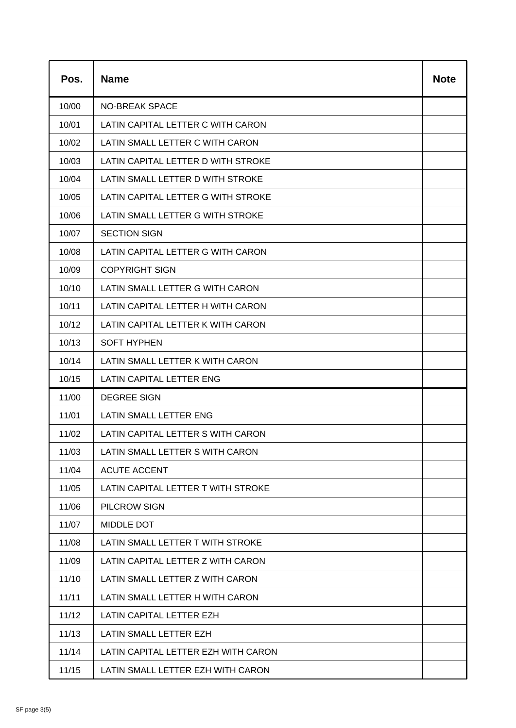| Pos.  | <b>Name</b>                         | <b>Note</b> |
|-------|-------------------------------------|-------------|
| 10/00 | <b>NO-BREAK SPACE</b>               |             |
| 10/01 | LATIN CAPITAL LETTER C WITH CARON   |             |
| 10/02 | LATIN SMALL LETTER C WITH CARON     |             |
| 10/03 | LATIN CAPITAL LETTER D WITH STROKE  |             |
| 10/04 | LATIN SMALL LETTER D WITH STROKE    |             |
| 10/05 | LATIN CAPITAL LETTER G WITH STROKE  |             |
| 10/06 | LATIN SMALL LETTER G WITH STROKE    |             |
| 10/07 | <b>SECTION SIGN</b>                 |             |
| 10/08 | LATIN CAPITAL LETTER G WITH CARON   |             |
| 10/09 | <b>COPYRIGHT SIGN</b>               |             |
| 10/10 | LATIN SMALL LETTER G WITH CARON     |             |
| 10/11 | LATIN CAPITAL LETTER H WITH CARON   |             |
| 10/12 | LATIN CAPITAL LETTER K WITH CARON   |             |
| 10/13 | <b>SOFT HYPHEN</b>                  |             |
| 10/14 | LATIN SMALL LETTER K WITH CARON     |             |
| 10/15 | LATIN CAPITAL LETTER ENG            |             |
| 11/00 | <b>DEGREE SIGN</b>                  |             |
| 11/01 | <b>LATIN SMALL LETTER ENG</b>       |             |
| 11/02 | LATIN CAPITAL LETTER S WITH CARON   |             |
| 11/03 | LATIN SMALL LETTER S WITH CARON     |             |
| 11/04 | <b>ACUTE ACCENT</b>                 |             |
| 11/05 | LATIN CAPITAL LETTER T WITH STROKE  |             |
| 11/06 | PILCROW SIGN                        |             |
| 11/07 | <b>MIDDLE DOT</b>                   |             |
| 11/08 | LATIN SMALL LETTER T WITH STROKE    |             |
| 11/09 | LATIN CAPITAL LETTER Z WITH CARON   |             |
| 11/10 | LATIN SMALL LETTER Z WITH CARON     |             |
| 11/11 | LATIN SMALL LETTER H WITH CARON     |             |
| 11/12 | LATIN CAPITAL LETTER EZH            |             |
| 11/13 | LATIN SMALL LETTER EZH              |             |
| 11/14 | LATIN CAPITAL LETTER EZH WITH CARON |             |
| 11/15 | LATIN SMALL LETTER EZH WITH CARON   |             |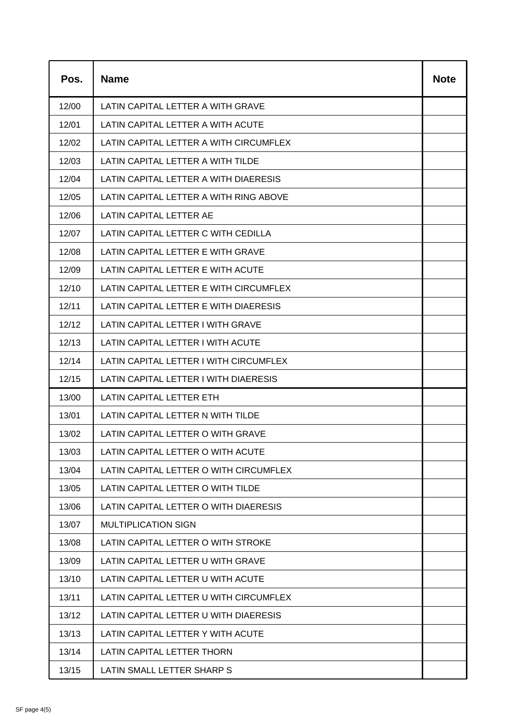| Pos.  | <b>Name</b>                            | <b>Note</b> |
|-------|----------------------------------------|-------------|
| 12/00 | LATIN CAPITAL LETTER A WITH GRAVE      |             |
| 12/01 | LATIN CAPITAL LETTER A WITH ACUTE      |             |
| 12/02 | LATIN CAPITAL LETTER A WITH CIRCUMFLEX |             |
| 12/03 | LATIN CAPITAL LETTER A WITH TILDE      |             |
| 12/04 | LATIN CAPITAL LETTER A WITH DIAERESIS  |             |
| 12/05 | LATIN CAPITAL LETTER A WITH RING ABOVE |             |
| 12/06 | LATIN CAPITAL LETTER AE                |             |
| 12/07 | LATIN CAPITAL LETTER C WITH CEDILLA    |             |
| 12/08 | LATIN CAPITAL LETTER E WITH GRAVE      |             |
| 12/09 | LATIN CAPITAL LETTER E WITH ACUTE      |             |
| 12/10 | LATIN CAPITAL LETTER E WITH CIRCUMFLEX |             |
| 12/11 | LATIN CAPITAL LETTER E WITH DIAERESIS  |             |
| 12/12 | LATIN CAPITAL LETTER I WITH GRAVE      |             |
| 12/13 | LATIN CAPITAL LETTER I WITH ACUTE      |             |
| 12/14 | LATIN CAPITAL LETTER I WITH CIRCUMFLEX |             |
| 12/15 | LATIN CAPITAL LETTER I WITH DIAERESIS  |             |
| 13/00 | LATIN CAPITAL LETTER ETH               |             |
| 13/01 | LATIN CAPITAL LETTER N WITH TILDE      |             |
| 13/02 | LATIN CAPITAL LETTER O WITH GRAVE      |             |
| 13/03 | LATIN CAPITAL LETTER O WITH ACUTE      |             |
| 13/04 | LATIN CAPITAL LETTER O WITH CIRCUMFLEX |             |
| 13/05 | LATIN CAPITAL LETTER O WITH TILDE      |             |
| 13/06 | LATIN CAPITAL LETTER O WITH DIAERESIS  |             |
| 13/07 | <b>MULTIPLICATION SIGN</b>             |             |
| 13/08 | LATIN CAPITAL LETTER O WITH STROKE     |             |
| 13/09 | LATIN CAPITAL LETTER U WITH GRAVE      |             |
| 13/10 | LATIN CAPITAL LETTER U WITH ACUTE      |             |
| 13/11 | LATIN CAPITAL LETTER U WITH CIRCUMFLEX |             |
| 13/12 | LATIN CAPITAL LETTER U WITH DIAERESIS  |             |
| 13/13 | LATIN CAPITAL LETTER Y WITH ACUTE      |             |
| 13/14 | <b>LATIN CAPITAL LETTER THORN</b>      |             |
| 13/15 | LATIN SMALL LETTER SHARP S             |             |